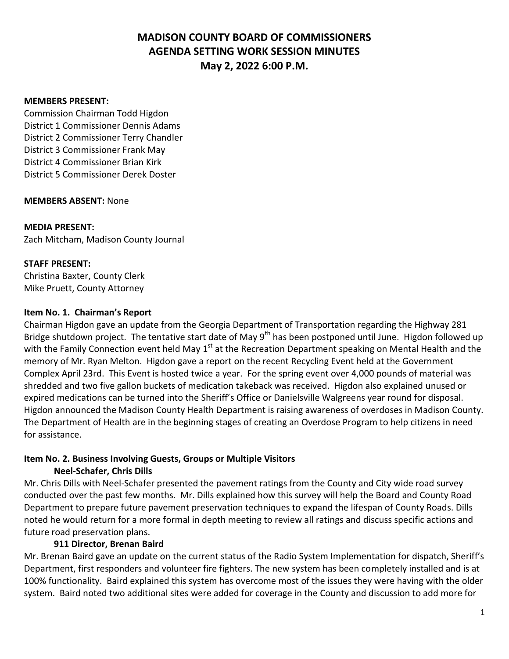#### **MEMBERS PRESENT:**

Commission Chairman Todd Higdon District 1 Commissioner Dennis Adams District 2 Commissioner Terry Chandler District 3 Commissioner Frank May District 4 Commissioner Brian Kirk District 5 Commissioner Derek Doster

#### **MEMBERS ABSENT:** None

**MEDIA PRESENT:** Zach Mitcham, Madison County Journal

#### **STAFF PRESENT:**

Christina Baxter, County Clerk Mike Pruett, County Attorney

#### **Item No. 1. Chairman's Report**

Chairman Higdon gave an update from the Georgia Department of Transportation regarding the Highway 281 Bridge shutdown project. The tentative start date of May  $9<sup>th</sup>$  has been postponed until June. Higdon followed up with the Family Connection event held May 1<sup>st</sup> at the Recreation Department speaking on Mental Health and the memory of Mr. Ryan Melton. Higdon gave a report on the recent Recycling Event held at the Government Complex April 23rd. This Event is hosted twice a year. For the spring event over 4,000 pounds of material was shredded and two five gallon buckets of medication takeback was received. Higdon also explained unused or expired medications can be turned into the Sheriff's Office or Danielsville Walgreens year round for disposal. Higdon announced the Madison County Health Department is raising awareness of overdoses in Madison County. The Department of Health are in the beginning stages of creating an Overdose Program to help citizens in need for assistance.

#### **Item No. 2. Business Involving Guests, Groups or Multiple Visitors Neel-Schafer, Chris Dills**

Mr. Chris Dills with Neel-Schafer presented the pavement ratings from the County and City wide road survey conducted over the past few months. Mr. Dills explained how this survey will help the Board and County Road Department to prepare future pavement preservation techniques to expand the lifespan of County Roads. Dills noted he would return for a more formal in depth meeting to review all ratings and discuss specific actions and future road preservation plans.

#### **911 Director, Brenan Baird**

Mr. Brenan Baird gave an update on the current status of the Radio System Implementation for dispatch, Sheriff's Department, first responders and volunteer fire fighters. The new system has been completely installed and is at 100% functionality. Baird explained this system has overcome most of the issues they were having with the older system. Baird noted two additional sites were added for coverage in the County and discussion to add more for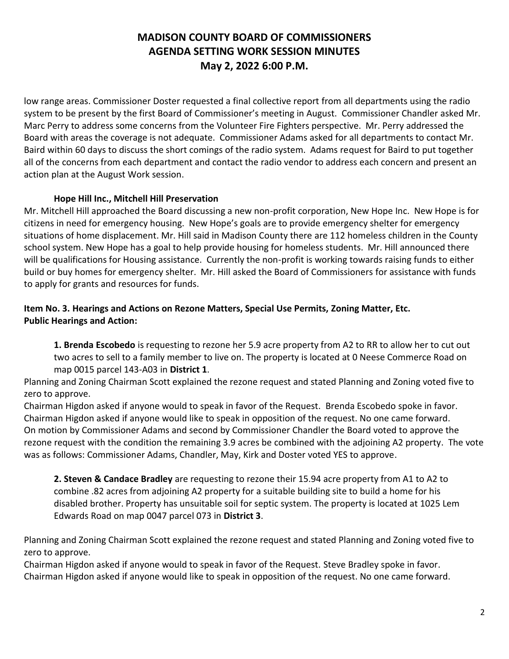low range areas. Commissioner Doster requested a final collective report from all departments using the radio system to be present by the first Board of Commissioner's meeting in August. Commissioner Chandler asked Mr. Marc Perry to address some concerns from the Volunteer Fire Fighters perspective. Mr. Perry addressed the Board with areas the coverage is not adequate. Commissioner Adams asked for all departments to contact Mr. Baird within 60 days to discuss the short comings of the radio system. Adams request for Baird to put together all of the concerns from each department and contact the radio vendor to address each concern and present an action plan at the August Work session.

## **Hope Hill Inc., Mitchell Hill Preservation**

Mr. Mitchell Hill approached the Board discussing a new non-profit corporation, New Hope Inc. New Hope is for citizens in need for emergency housing. New Hope's goals are to provide emergency shelter for emergency situations of home displacement. Mr. Hill said in Madison County there are 112 homeless children in the County school system. New Hope has a goal to help provide housing for homeless students. Mr. Hill announced there will be qualifications for Housing assistance. Currently the non-profit is working towards raising funds to either build or buy homes for emergency shelter. Mr. Hill asked the Board of Commissioners for assistance with funds to apply for grants and resources for funds.

## **Item No. 3. Hearings and Actions on Rezone Matters, Special Use Permits, Zoning Matter, Etc. Public Hearings and Action:**

**1. Brenda Escobedo** is requesting to rezone her 5.9 acre property from A2 to RR to allow her to cut out two acres to sell to a family member to live on. The property is located at 0 Neese Commerce Road on map 0015 parcel 143-A03 in **District 1**.

Planning and Zoning Chairman Scott explained the rezone request and stated Planning and Zoning voted five to zero to approve.

Chairman Higdon asked if anyone would to speak in favor of the Request. Brenda Escobedo spoke in favor. Chairman Higdon asked if anyone would like to speak in opposition of the request. No one came forward. On motion by Commissioner Adams and second by Commissioner Chandler the Board voted to approve the rezone request with the condition the remaining 3.9 acres be combined with the adjoining A2 property. The vote was as follows: Commissioner Adams, Chandler, May, Kirk and Doster voted YES to approve.

**2. Steven & Candace Bradley** are requesting to rezone their 15.94 acre property from A1 to A2 to combine .82 acres from adjoining A2 property for a suitable building site to build a home for his disabled brother. Property has unsuitable soil for septic system. The property is located at 1025 Lem Edwards Road on map 0047 parcel 073 in **District 3**.

Planning and Zoning Chairman Scott explained the rezone request and stated Planning and Zoning voted five to zero to approve.

Chairman Higdon asked if anyone would to speak in favor of the Request. Steve Bradley spoke in favor. Chairman Higdon asked if anyone would like to speak in opposition of the request. No one came forward.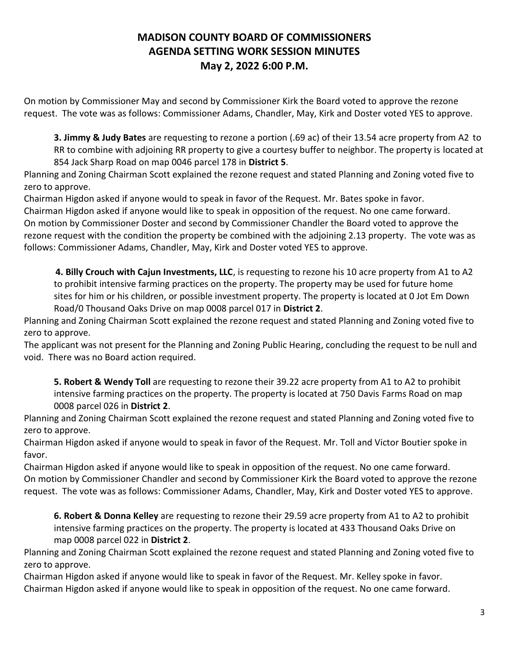On motion by Commissioner May and second by Commissioner Kirk the Board voted to approve the rezone request. The vote was as follows: Commissioner Adams, Chandler, May, Kirk and Doster voted YES to approve.

**3. Jimmy & Judy Bates** are requesting to rezone a portion (.69 ac) of their 13.54 acre property from A2 to RR to combine with adjoining RR property to give a courtesy buffer to neighbor. The property is located at 854 Jack Sharp Road on map 0046 parcel 178 in **District 5**.

Planning and Zoning Chairman Scott explained the rezone request and stated Planning and Zoning voted five to zero to approve.

Chairman Higdon asked if anyone would to speak in favor of the Request. Mr. Bates spoke in favor.

Chairman Higdon asked if anyone would like to speak in opposition of the request. No one came forward. On motion by Commissioner Doster and second by Commissioner Chandler the Board voted to approve the rezone request with the condition the property be combined with the adjoining 2.13 property. The vote was as follows: Commissioner Adams, Chandler, May, Kirk and Doster voted YES to approve.

 **4. Billy Crouch with Cajun Investments, LLC**, is requesting to rezone his 10 acre property from A1 to A2 to prohibit intensive farming practices on the property. The property may be used for future home sites for him or his children, or possible investment property. The property is located at 0 Jot Em Down Road/0 Thousand Oaks Drive on map 0008 parcel 017 in **District 2**.

Planning and Zoning Chairman Scott explained the rezone request and stated Planning and Zoning voted five to zero to approve.

The applicant was not present for the Planning and Zoning Public Hearing, concluding the request to be null and void. There was no Board action required.

**5. Robert & Wendy Toll** are requesting to rezone their 39.22 acre property from A1 to A2 to prohibit intensive farming practices on the property. The property is located at 750 Davis Farms Road on map 0008 parcel 026 in **District 2**.

Planning and Zoning Chairman Scott explained the rezone request and stated Planning and Zoning voted five to zero to approve.

Chairman Higdon asked if anyone would to speak in favor of the Request. Mr. Toll and Victor Boutier spoke in favor.

Chairman Higdon asked if anyone would like to speak in opposition of the request. No one came forward. On motion by Commissioner Chandler and second by Commissioner Kirk the Board voted to approve the rezone request. The vote was as follows: Commissioner Adams, Chandler, May, Kirk and Doster voted YES to approve.

**6. Robert & Donna Kelley** are requesting to rezone their 29.59 acre property from A1 to A2 to prohibit intensive farming practices on the property. The property is located at 433 Thousand Oaks Drive on map 0008 parcel 022 in **District 2**.

Planning and Zoning Chairman Scott explained the rezone request and stated Planning and Zoning voted five to zero to approve.

Chairman Higdon asked if anyone would like to speak in favor of the Request. Mr. Kelley spoke in favor. Chairman Higdon asked if anyone would like to speak in opposition of the request. No one came forward.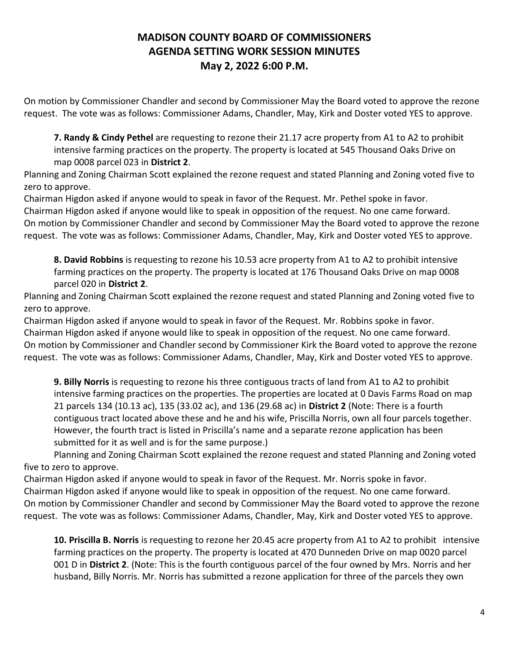On motion by Commissioner Chandler and second by Commissioner May the Board voted to approve the rezone request. The vote was as follows: Commissioner Adams, Chandler, May, Kirk and Doster voted YES to approve.

**7. Randy & Cindy Pethel** are requesting to rezone their 21.17 acre property from A1 to A2 to prohibit intensive farming practices on the property. The property is located at 545 Thousand Oaks Drive on map 0008 parcel 023 in **District 2**.

Planning and Zoning Chairman Scott explained the rezone request and stated Planning and Zoning voted five to zero to approve.

Chairman Higdon asked if anyone would to speak in favor of the Request. Mr. Pethel spoke in favor. Chairman Higdon asked if anyone would like to speak in opposition of the request. No one came forward. On motion by Commissioner Chandler and second by Commissioner May the Board voted to approve the rezone request. The vote was as follows: Commissioner Adams, Chandler, May, Kirk and Doster voted YES to approve.

**8. David Robbins** is requesting to rezone his 10.53 acre property from A1 to A2 to prohibit intensive farming practices on the property. The property is located at 176 Thousand Oaks Drive on map 0008 parcel 020 in **District 2**.

Planning and Zoning Chairman Scott explained the rezone request and stated Planning and Zoning voted five to zero to approve.

Chairman Higdon asked if anyone would to speak in favor of the Request. Mr. Robbins spoke in favor. Chairman Higdon asked if anyone would like to speak in opposition of the request. No one came forward. On motion by Commissioner and Chandler second by Commissioner Kirk the Board voted to approve the rezone request. The vote was as follows: Commissioner Adams, Chandler, May, Kirk and Doster voted YES to approve.

**9. Billy Norris** is requesting to rezone his three contiguous tracts of land from A1 to A2 to prohibit intensive farming practices on the properties. The properties are located at 0 Davis Farms Road on map 21 parcels 134 (10.13 ac), 135 (33.02 ac), and 136 (29.68 ac) in **District 2** (Note: There is a fourth contiguous tract located above these and he and his wife, Priscilla Norris, own all four parcels together. However, the fourth tract is listed in Priscilla's name and a separate rezone application has been submitted for it as well and is for the same purpose.)

Planning and Zoning Chairman Scott explained the rezone request and stated Planning and Zoning voted five to zero to approve.

Chairman Higdon asked if anyone would to speak in favor of the Request. Mr. Norris spoke in favor. Chairman Higdon asked if anyone would like to speak in opposition of the request. No one came forward. On motion by Commissioner Chandler and second by Commissioner May the Board voted to approve the rezone request. The vote was as follows: Commissioner Adams, Chandler, May, Kirk and Doster voted YES to approve.

**10. Priscilla B. Norris** is requesting to rezone her 20.45 acre property from A1 to A2 to prohibit intensive farming practices on the property. The property is located at 470 Dunneden Drive on map 0020 parcel 001 D in **District 2**. (Note: This is the fourth contiguous parcel of the four owned by Mrs. Norris and her husband, Billy Norris. Mr. Norris has submitted a rezone application for three of the parcels they own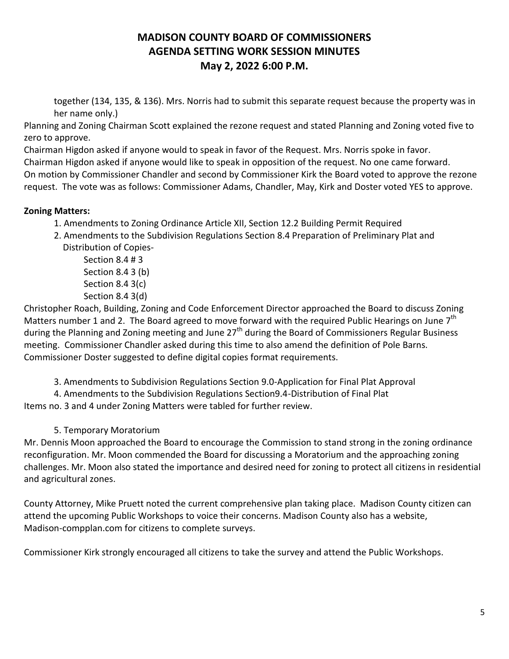together (134, 135, & 136). Mrs. Norris had to submit this separate request because the property was in her name only.)

Planning and Zoning Chairman Scott explained the rezone request and stated Planning and Zoning voted five to zero to approve.

Chairman Higdon asked if anyone would to speak in favor of the Request. Mrs. Norris spoke in favor.

Chairman Higdon asked if anyone would like to speak in opposition of the request. No one came forward. On motion by Commissioner Chandler and second by Commissioner Kirk the Board voted to approve the rezone request. The vote was as follows: Commissioner Adams, Chandler, May, Kirk and Doster voted YES to approve.

## **Zoning Matters:**

- 1. Amendments to Zoning Ordinance Article XII, Section 12.2 Building Permit Required
- 2. Amendments to the Subdivision Regulations Section 8.4 Preparation of Preliminary Plat and Distribution of Copies-

Section 8.4 # 3 Section 8.4 3 (b) Section 8.4 3(c) Section 8.4 3(d)

Christopher Roach, Building, Zoning and Code Enforcement Director approached the Board to discuss Zoning Matters number 1 and 2. The Board agreed to move forward with the required Public Hearings on June  $7<sup>th</sup>$ during the Planning and Zoning meeting and June 27<sup>th</sup> during the Board of Commissioners Regular Business meeting. Commissioner Chandler asked during this time to also amend the definition of Pole Barns. Commissioner Doster suggested to define digital copies format requirements.

- 3. Amendments to Subdivision Regulations Section 9.0-Application for Final Plat Approval
- 4. Amendments to the Subdivision Regulations Section9.4-Distribution of Final Plat

Items no. 3 and 4 under Zoning Matters were tabled for further review.

5. Temporary Moratorium

Mr. Dennis Moon approached the Board to encourage the Commission to stand strong in the zoning ordinance reconfiguration. Mr. Moon commended the Board for discussing a Moratorium and the approaching zoning challenges. Mr. Moon also stated the importance and desired need for zoning to protect all citizens in residential and agricultural zones.

County Attorney, Mike Pruett noted the current comprehensive plan taking place. Madison County citizen can attend the upcoming Public Workshops to voice their concerns. Madison County also has a website, Madison-compplan.com for citizens to complete surveys.

Commissioner Kirk strongly encouraged all citizens to take the survey and attend the Public Workshops.